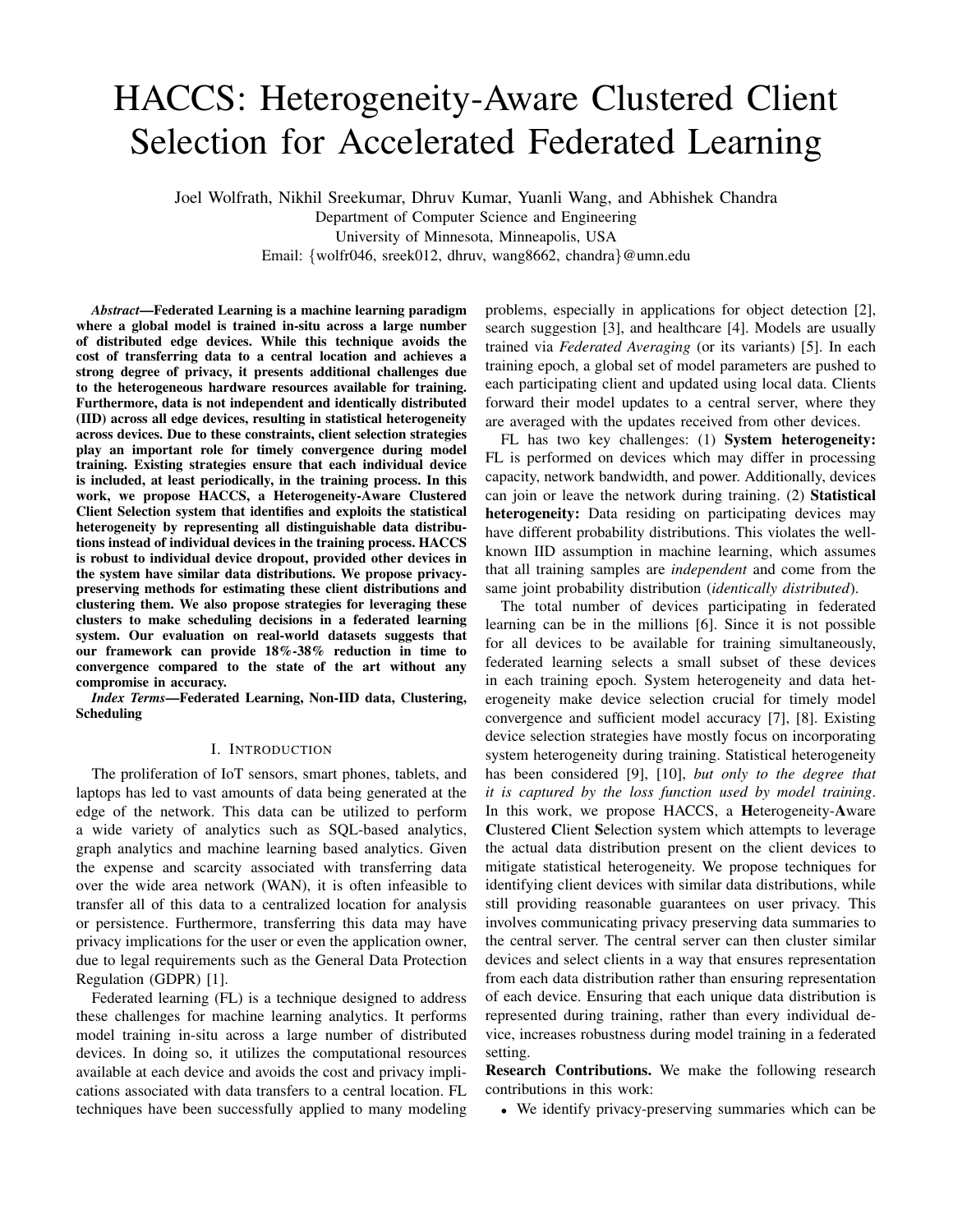# HACCS: Heterogeneity-Aware Clustered Client Selection for Accelerated Federated Learning

Joel Wolfrath, Nikhil Sreekumar, Dhruv Kumar, Yuanli Wang, and Abhishek Chandra Department of Computer Science and Engineering University of Minnesota, Minneapolis, USA Email: {wolfr046, sreek012, dhruv, wang8662, chandra}@umn.edu

*Abstract*—Federated Learning is a machine learning paradigm where a global model is trained in-situ across a large number of distributed edge devices. While this technique avoids the cost of transferring data to a central location and achieves a strong degree of privacy, it presents additional challenges due to the heterogeneous hardware resources available for training. Furthermore, data is not independent and identically distributed (IID) across all edge devices, resulting in statistical heterogeneity across devices. Due to these constraints, client selection strategies play an important role for timely convergence during model training. Existing strategies ensure that each individual device is included, at least periodically, in the training process. In this work, we propose HACCS, a Heterogeneity-Aware Clustered Client Selection system that identifies and exploits the statistical heterogeneity by representing all distinguishable data distributions instead of individual devices in the training process. HACCS is robust to individual device dropout, provided other devices in the system have similar data distributions. We propose privacypreserving methods for estimating these client distributions and clustering them. We also propose strategies for leveraging these clusters to make scheduling decisions in a federated learning system. Our evaluation on real-world datasets suggests that our framework can provide 18%-38% reduction in time to convergence compared to the state of the art without any compromise in accuracy.

*Index Terms*—Federated Learning, Non-IID data, Clustering, Scheduling

## I. INTRODUCTION

The proliferation of IoT sensors, smart phones, tablets, and laptops has led to vast amounts of data being generated at the edge of the network. This data can be utilized to perform a wide variety of analytics such as SQL-based analytics, graph analytics and machine learning based analytics. Given the expense and scarcity associated with transferring data over the wide area network (WAN), it is often infeasible to transfer all of this data to a centralized location for analysis or persistence. Furthermore, transferring this data may have privacy implications for the user or even the application owner, due to legal requirements such as the General Data Protection Regulation (GDPR) [1].

Federated learning (FL) is a technique designed to address these challenges for machine learning analytics. It performs model training in-situ across a large number of distributed devices. In doing so, it utilizes the computational resources available at each device and avoids the cost and privacy implications associated with data transfers to a central location. FL techniques have been successfully applied to many modeling problems, especially in applications for object detection [2], search suggestion [3], and healthcare [4]. Models are usually trained via *Federated Averaging* (or its variants) [5]. In each training epoch, a global set of model parameters are pushed to each participating client and updated using local data. Clients forward their model updates to a central server, where they are averaged with the updates received from other devices.

FL has two key challenges: (1) System heterogeneity: FL is performed on devices which may differ in processing capacity, network bandwidth, and power. Additionally, devices can join or leave the network during training. (2) Statistical heterogeneity: Data residing on participating devices may have different probability distributions. This violates the wellknown IID assumption in machine learning, which assumes that all training samples are *independent* and come from the same joint probability distribution (*identically distributed*).

The total number of devices participating in federated learning can be in the millions [6]. Since it is not possible for all devices to be available for training simultaneously, federated learning selects a small subset of these devices in each training epoch. System heterogeneity and data heterogeneity make device selection crucial for timely model convergence and sufficient model accuracy [7], [8]. Existing device selection strategies have mostly focus on incorporating system heterogeneity during training. Statistical heterogeneity has been considered [9], [10], *but only to the degree that it is captured by the loss function used by model training*. In this work, we propose HACCS, a Heterogeneity-Aware Clustered Client Selection system which attempts to leverage the actual data distribution present on the client devices to mitigate statistical heterogeneity. We propose techniques for identifying client devices with similar data distributions, while still providing reasonable guarantees on user privacy. This involves communicating privacy preserving data summaries to the central server. The central server can then cluster similar devices and select clients in a way that ensures representation from each data distribution rather than ensuring representation of each device. Ensuring that each unique data distribution is represented during training, rather than every individual device, increases robustness during model training in a federated setting.

Research Contributions. We make the following research contributions in this work:

• We identify privacy-preserving summaries which can be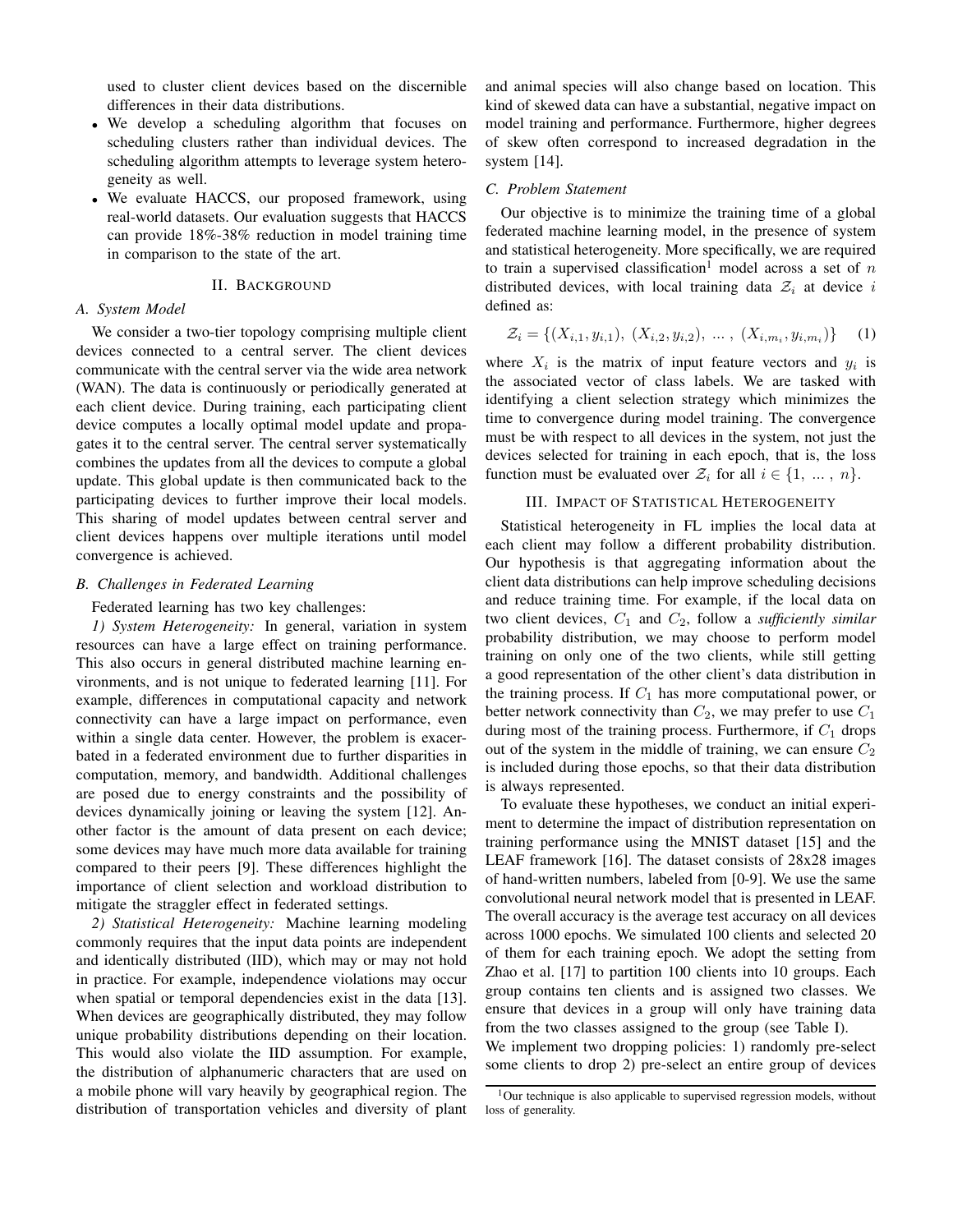used to cluster client devices based on the discernible differences in their data distributions.

- We develop a scheduling algorithm that focuses on scheduling clusters rather than individual devices. The scheduling algorithm attempts to leverage system heterogeneity as well.
- We evaluate HACCS, our proposed framework, using real-world datasets. Our evaluation suggests that HACCS can provide 18%-38% reduction in model training time in comparison to the state of the art.

#### II. BACKGROUND

# *A. System Model*

We consider a two-tier topology comprising multiple client devices connected to a central server. The client devices communicate with the central server via the wide area network (WAN). The data is continuously or periodically generated at each client device. During training, each participating client device computes a locally optimal model update and propagates it to the central server. The central server systematically combines the updates from all the devices to compute a global update. This global update is then communicated back to the participating devices to further improve their local models. This sharing of model updates between central server and client devices happens over multiple iterations until model convergence is achieved.

## *B. Challenges in Federated Learning*

Federated learning has two key challenges:

*1) System Heterogeneity:* In general, variation in system resources can have a large effect on training performance. This also occurs in general distributed machine learning environments, and is not unique to federated learning [11]. For example, differences in computational capacity and network connectivity can have a large impact on performance, even within a single data center. However, the problem is exacerbated in a federated environment due to further disparities in computation, memory, and bandwidth. Additional challenges are posed due to energy constraints and the possibility of devices dynamically joining or leaving the system [12]. Another factor is the amount of data present on each device; some devices may have much more data available for training compared to their peers [9]. These differences highlight the importance of client selection and workload distribution to mitigate the straggler effect in federated settings.

*2) Statistical Heterogeneity:* Machine learning modeling commonly requires that the input data points are independent and identically distributed (IID), which may or may not hold in practice. For example, independence violations may occur when spatial or temporal dependencies exist in the data [13]. When devices are geographically distributed, they may follow unique probability distributions depending on their location. This would also violate the IID assumption. For example, the distribution of alphanumeric characters that are used on a mobile phone will vary heavily by geographical region. The distribution of transportation vehicles and diversity of plant and animal species will also change based on location. This kind of skewed data can have a substantial, negative impact on model training and performance. Furthermore, higher degrees of skew often correspond to increased degradation in the system [14].

## *C. Problem Statement*

Our objective is to minimize the training time of a global federated machine learning model, in the presence of system and statistical heterogeneity. More specifically, we are required to train a supervised classification<sup>1</sup> model across a set of  $n$ distributed devices, with local training data  $\mathcal{Z}_i$  at device i defined as:

$$
\mathcal{Z}_i = \{ (X_{i,1}, y_{i,1}), (X_{i,2}, y_{i,2}), \dots, (X_{i,m_i}, y_{i,m_i}) \} \quad (1)
$$

where  $X_i$  is the matrix of input feature vectors and  $y_i$  is the associated vector of class labels. We are tasked with identifying a client selection strategy which minimizes the time to convergence during model training. The convergence must be with respect to all devices in the system, not just the devices selected for training in each epoch, that is, the loss function must be evaluated over  $\mathcal{Z}_i$  for all  $i \in \{1, ..., n\}$ .

## III. IMPACT OF STATISTICAL HETEROGENEITY

Statistical heterogeneity in FL implies the local data at each client may follow a different probability distribution. Our hypothesis is that aggregating information about the client data distributions can help improve scheduling decisions and reduce training time. For example, if the local data on two client devices,  $C_1$  and  $C_2$ , follow a *sufficiently similar* probability distribution, we may choose to perform model training on only one of the two clients, while still getting a good representation of the other client's data distribution in the training process. If  $C_1$  has more computational power, or better network connectivity than  $C_2$ , we may prefer to use  $C_1$ during most of the training process. Furthermore, if  $C_1$  drops out of the system in the middle of training, we can ensure  $C_2$ is included during those epochs, so that their data distribution is always represented.

To evaluate these hypotheses, we conduct an initial experiment to determine the impact of distribution representation on training performance using the MNIST dataset [15] and the LEAF framework [16]. The dataset consists of 28x28 images of hand-written numbers, labeled from [0-9]. We use the same convolutional neural network model that is presented in LEAF. The overall accuracy is the average test accuracy on all devices across 1000 epochs. We simulated 100 clients and selected 20 of them for each training epoch. We adopt the setting from Zhao et al. [17] to partition 100 clients into 10 groups. Each group contains ten clients and is assigned two classes. We ensure that devices in a group will only have training data from the two classes assigned to the group (see Table I).

We implement two dropping policies: 1) randomly pre-select some clients to drop 2) pre-select an entire group of devices

 $1$ Our technique is also applicable to supervised regression models, without loss of generality.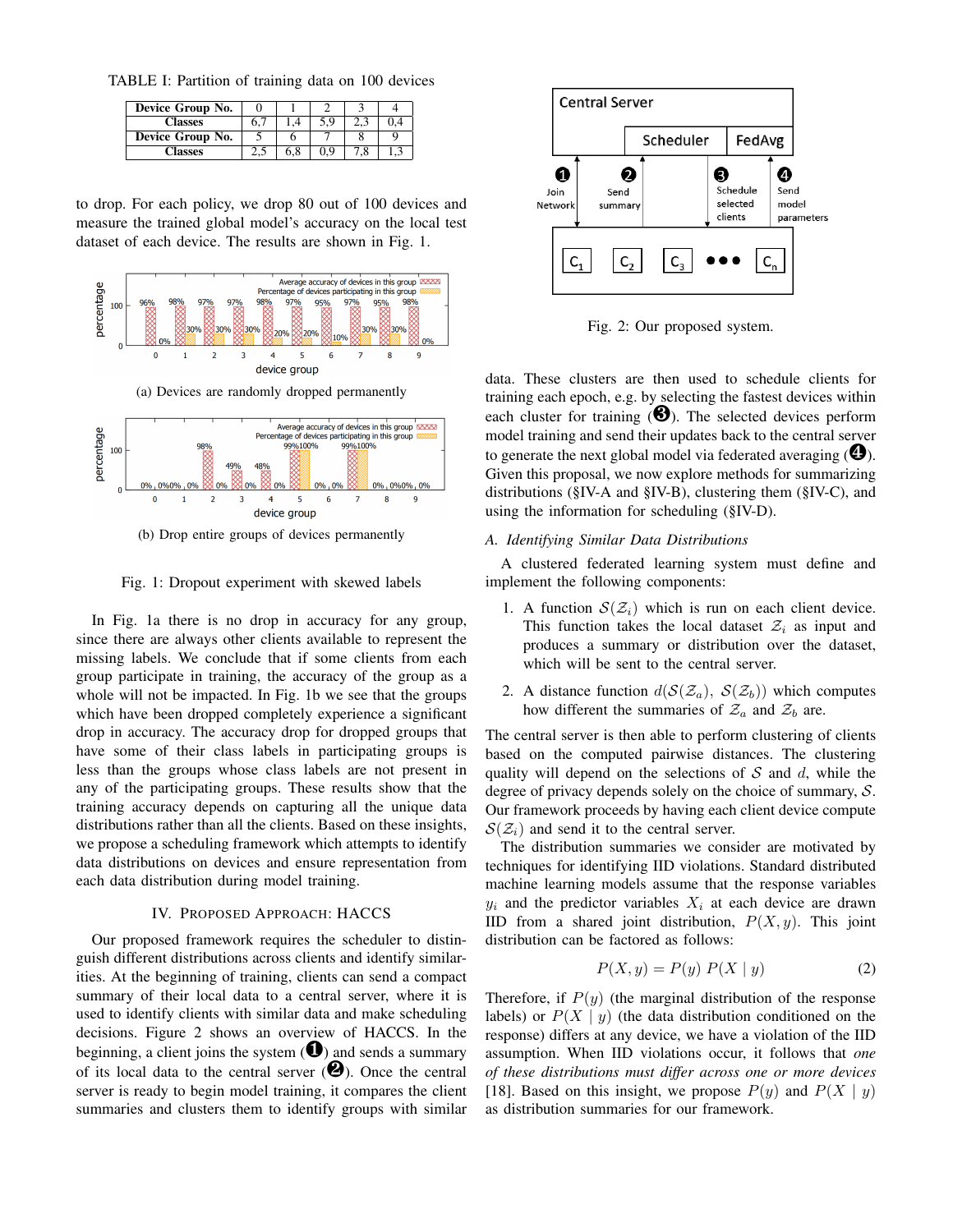TABLE I: Partition of training data on 100 devices

| Device Group No. |    |     |  |
|------------------|----|-----|--|
| <b>Classes</b>   | b. | 5.9 |  |
| Device Group No. |    |     |  |
| <b>Alasses</b>   |    | ገ ና |  |

to drop. For each policy, we drop 80 out of 100 devices and measure the trained global model's accuracy on the local test dataset of each device. The results are shown in Fig. 1.



(a) Devices are randomly dropped permanently



(b) Drop entire groups of devices permanently

Fig. 1: Dropout experiment with skewed labels

In Fig. 1a there is no drop in accuracy for any group, since there are always other clients available to represent the missing labels. We conclude that if some clients from each group participate in training, the accuracy of the group as a whole will not be impacted. In Fig. 1b we see that the groups which have been dropped completely experience a significant drop in accuracy. The accuracy drop for dropped groups that have some of their class labels in participating groups is less than the groups whose class labels are not present in any of the participating groups. These results show that the training accuracy depends on capturing all the unique data distributions rather than all the clients. Based on these insights, we propose a scheduling framework which attempts to identify data distributions on devices and ensure representation from each data distribution during model training.

## IV. PROPOSED APPROACH: HACCS

Our proposed framework requires the scheduler to distinguish different distributions across clients and identify similarities. At the beginning of training, clients can send a compact summary of their local data to a central server, where it is used to identify clients with similar data and make scheduling decisions. Figure 2 shows an overview of HACCS. In the beginning, a client joins the system  $\left( \bigodot \right)$  and sends a summary of its local data to the central server  $(②)$ . Once the central server is ready to begin model training, it compares the client summaries and clusters them to identify groups with similar



Fig. 2: Our proposed system.

data. These clusters are then used to schedule clients for training each epoch, e.g. by selecting the fastest devices within each cluster for training  $\Theta$ ). The selected devices perform model training and send their updates back to the central server to generate the next global model via federated averaging  $(\bigcirc$ . Given this proposal, we now explore methods for summarizing distributions (§IV-A and §IV-B), clustering them (§IV-C), and using the information for scheduling (§IV-D).

# *A. Identifying Similar Data Distributions*

A clustered federated learning system must define and implement the following components:

- 1. A function  $S(\mathcal{Z}_i)$  which is run on each client device. This function takes the local dataset  $\mathcal{Z}_i$  as input and produces a summary or distribution over the dataset, which will be sent to the central server.
- 2. A distance function  $d(S(\mathcal{Z}_a), S(\mathcal{Z}_b))$  which computes how different the summaries of  $\mathcal{Z}_a$  and  $\mathcal{Z}_b$  are.

The central server is then able to perform clustering of clients based on the computed pairwise distances. The clustering quality will depend on the selections of  $S$  and  $d$ , while the degree of privacy depends solely on the choice of summary, S. Our framework proceeds by having each client device compute  $S(\mathcal{Z}_i)$  and send it to the central server.

The distribution summaries we consider are motivated by techniques for identifying IID violations. Standard distributed machine learning models assume that the response variables  $y_i$  and the predictor variables  $X_i$  at each device are drawn IID from a shared joint distribution,  $P(X, y)$ . This joint distribution can be factored as follows:

$$
P(X, y) = P(y) P(X | y)
$$
 (2)

Therefore, if  $P(y)$  (the marginal distribution of the response labels) or  $P(X | y)$  (the data distribution conditioned on the response) differs at any device, we have a violation of the IID assumption. When IID violations occur, it follows that *one of these distributions must differ across one or more devices* [18]. Based on this insight, we propose  $P(y)$  and  $P(X | y)$ as distribution summaries for our framework.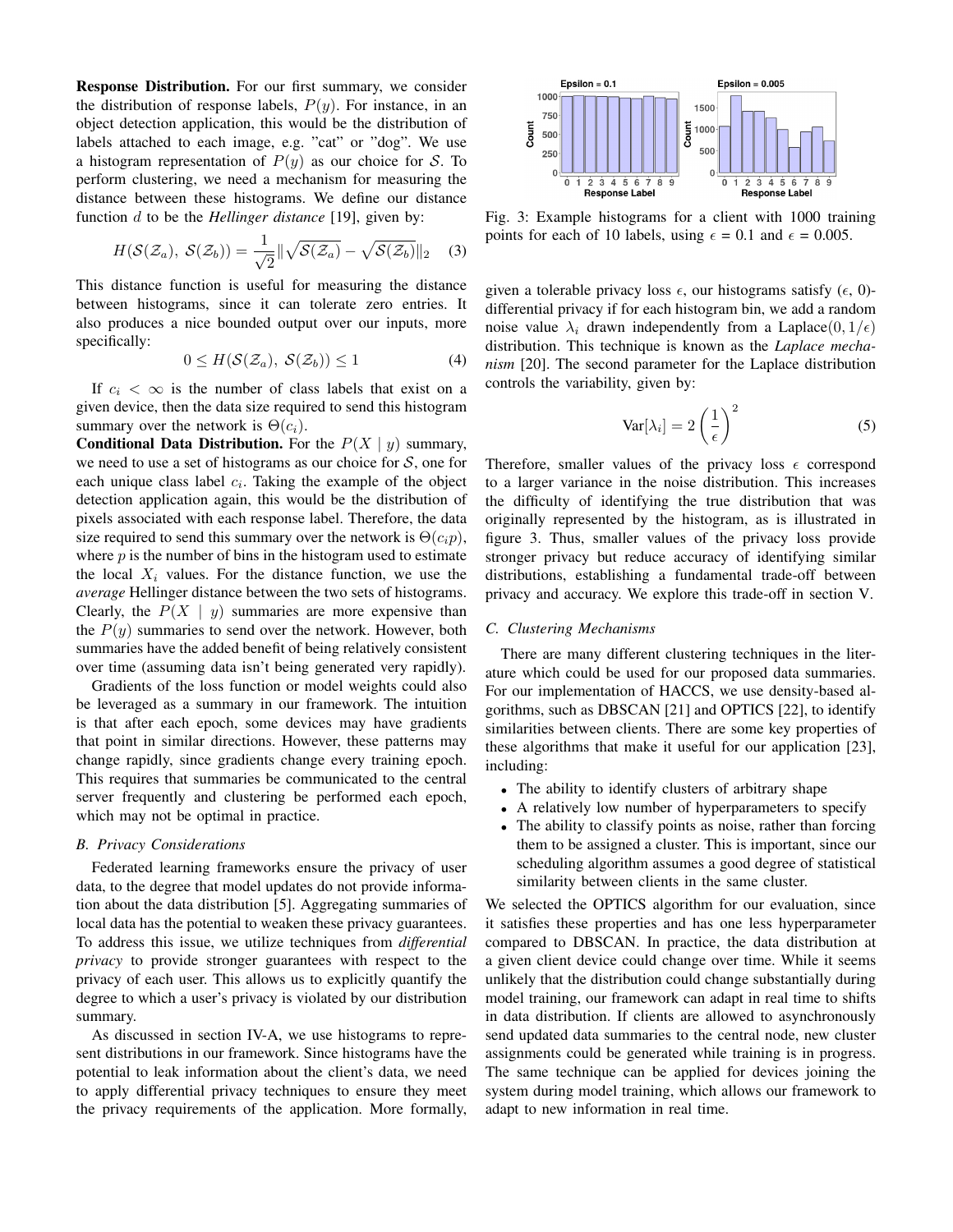Response Distribution. For our first summary, we consider the distribution of response labels,  $P(y)$ . For instance, in an object detection application, this would be the distribution of labels attached to each image, e.g. "cat" or "dog". We use a histogram representation of  $P(y)$  as our choice for S. To perform clustering, we need a mechanism for measuring the distance between these histograms. We define our distance function d to be the *Hellinger distance* [19], given by:

$$
H(\mathcal{S}(\mathcal{Z}_a), \mathcal{S}(\mathcal{Z}_b)) = \frac{1}{\sqrt{2}} \|\sqrt{\mathcal{S}(\mathcal{Z}_a)} - \sqrt{\mathcal{S}(\mathcal{Z}_b)}\|_2 \quad (3)
$$

This distance function is useful for measuring the distance between histograms, since it can tolerate zero entries. It also produces a nice bounded output over our inputs, more specifically:

$$
0 \le H(\mathcal{S}(\mathcal{Z}_a), \ \mathcal{S}(\mathcal{Z}_b)) \le 1 \tag{4}
$$

If  $c_i < \infty$  is the number of class labels that exist on a given device, then the data size required to send this histogram summary over the network is  $\Theta(c_i)$ .

**Conditional Data Distribution.** For the  $P(X | y)$  summary, we need to use a set of histograms as our choice for  $S$ , one for each unique class label  $c_i$ . Taking the example of the object detection application again, this would be the distribution of pixels associated with each response label. Therefore, the data size required to send this summary over the network is  $\Theta(c_i p)$ , where  $p$  is the number of bins in the histogram used to estimate the local  $X_i$  values. For the distance function, we use the *average* Hellinger distance between the two sets of histograms. Clearly, the  $P(X \mid y)$  summaries are more expensive than the  $P(y)$  summaries to send over the network. However, both summaries have the added benefit of being relatively consistent over time (assuming data isn't being generated very rapidly).

Gradients of the loss function or model weights could also be leveraged as a summary in our framework. The intuition is that after each epoch, some devices may have gradients that point in similar directions. However, these patterns may change rapidly, since gradients change every training epoch. This requires that summaries be communicated to the central server frequently and clustering be performed each epoch, which may not be optimal in practice.

## *B. Privacy Considerations*

Federated learning frameworks ensure the privacy of user data, to the degree that model updates do not provide information about the data distribution [5]. Aggregating summaries of local data has the potential to weaken these privacy guarantees. To address this issue, we utilize techniques from *differential privacy* to provide stronger guarantees with respect to the privacy of each user. This allows us to explicitly quantify the degree to which a user's privacy is violated by our distribution summary.

As discussed in section IV-A, we use histograms to represent distributions in our framework. Since histograms have the potential to leak information about the client's data, we need to apply differential privacy techniques to ensure they meet the privacy requirements of the application. More formally,



Fig. 3: Example histograms for a client with 1000 training points for each of 10 labels, using  $\epsilon = 0.1$  and  $\epsilon = 0.005$ .

given a tolerable privacy loss  $\epsilon$ , our histograms satisfy ( $\epsilon$ , 0)differential privacy if for each histogram bin, we add a random noise value  $\lambda_i$  drawn independently from a Laplace  $(0, 1/\epsilon)$ distribution. This technique is known as the *Laplace mechanism* [20]. The second parameter for the Laplace distribution controls the variability, given by:

$$
\text{Var}[\lambda_i] = 2\left(\frac{1}{\epsilon}\right)^2 \tag{5}
$$

Therefore, smaller values of the privacy loss  $\epsilon$  correspond to a larger variance in the noise distribution. This increases the difficulty of identifying the true distribution that was originally represented by the histogram, as is illustrated in figure 3. Thus, smaller values of the privacy loss provide stronger privacy but reduce accuracy of identifying similar distributions, establishing a fundamental trade-off between privacy and accuracy. We explore this trade-off in section V.

## *C. Clustering Mechanisms*

There are many different clustering techniques in the literature which could be used for our proposed data summaries. For our implementation of HACCS, we use density-based algorithms, such as DBSCAN [21] and OPTICS [22], to identify similarities between clients. There are some key properties of these algorithms that make it useful for our application [23], including:

- The ability to identify clusters of arbitrary shape
- A relatively low number of hyperparameters to specify
- The ability to classify points as noise, rather than forcing them to be assigned a cluster. This is important, since our scheduling algorithm assumes a good degree of statistical similarity between clients in the same cluster.

We selected the OPTICS algorithm for our evaluation, since it satisfies these properties and has one less hyperparameter compared to DBSCAN. In practice, the data distribution at a given client device could change over time. While it seems unlikely that the distribution could change substantially during model training, our framework can adapt in real time to shifts in data distribution. If clients are allowed to asynchronously send updated data summaries to the central node, new cluster assignments could be generated while training is in progress. The same technique can be applied for devices joining the system during model training, which allows our framework to adapt to new information in real time.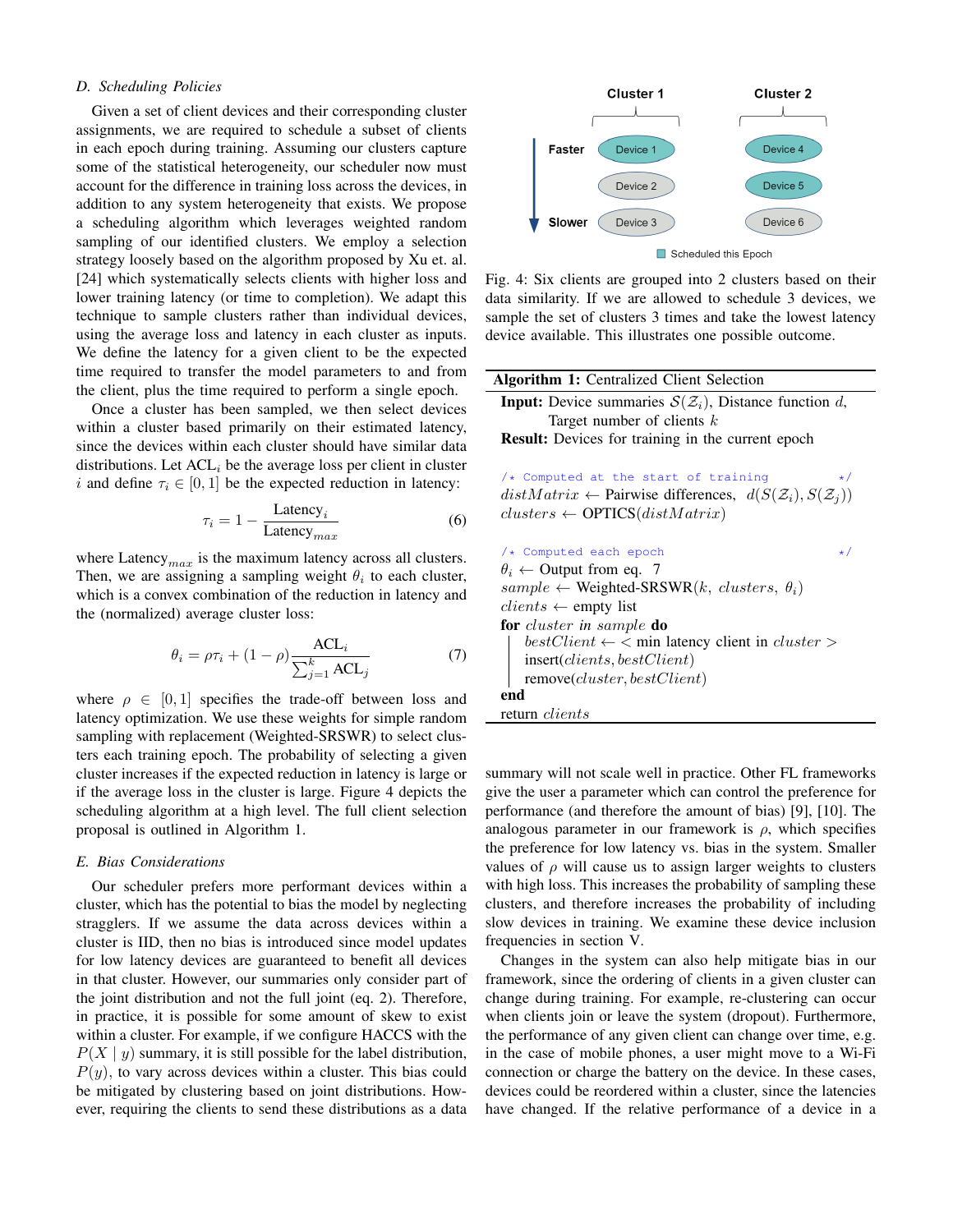# *D. Scheduling Policies*

Given a set of client devices and their corresponding cluster assignments, we are required to schedule a subset of clients in each epoch during training. Assuming our clusters capture some of the statistical heterogeneity, our scheduler now must account for the difference in training loss across the devices, in addition to any system heterogeneity that exists. We propose a scheduling algorithm which leverages weighted random sampling of our identified clusters. We employ a selection strategy loosely based on the algorithm proposed by Xu et. al. [24] which systematically selects clients with higher loss and lower training latency (or time to completion). We adapt this technique to sample clusters rather than individual devices, using the average loss and latency in each cluster as inputs. We define the latency for a given client to be the expected time required to transfer the model parameters to and from the client, plus the time required to perform a single epoch.

Once a cluster has been sampled, we then select devices within a cluster based primarily on their estimated latency, since the devices within each cluster should have similar data distributions. Let  $ACL<sub>i</sub>$  be the average loss per client in cluster i and define  $\tau_i \in [0, 1]$  be the expected reduction in latency:

$$
\tau_i = 1 - \frac{\text{Latency}_i}{\text{Latency}_{max}} \tag{6}
$$

where Latency  $_{max}$  is the maximum latency across all clusters. Then, we are assigning a sampling weight  $\theta_i$  to each cluster, which is a convex combination of the reduction in latency and the (normalized) average cluster loss:

$$
\theta_i = \rho \tau_i + (1 - \rho) \frac{\text{ACL}_i}{\sum_{j=1}^k \text{ACL}_j} \tag{7}
$$

where  $\rho \in [0, 1]$  specifies the trade-off between loss and latency optimization. We use these weights for simple random sampling with replacement (Weighted-SRSWR) to select clusters each training epoch. The probability of selecting a given cluster increases if the expected reduction in latency is large or if the average loss in the cluster is large. Figure 4 depicts the scheduling algorithm at a high level. The full client selection proposal is outlined in Algorithm 1.

## *E. Bias Considerations*

Our scheduler prefers more performant devices within a cluster, which has the potential to bias the model by neglecting stragglers. If we assume the data across devices within a cluster is IID, then no bias is introduced since model updates for low latency devices are guaranteed to benefit all devices in that cluster. However, our summaries only consider part of the joint distribution and not the full joint (eq. 2). Therefore, in practice, it is possible for some amount of skew to exist within a cluster. For example, if we configure HACCS with the  $P(X | y)$  summary, it is still possible for the label distribution,  $P(y)$ , to vary across devices within a cluster. This bias could be mitigated by clustering based on joint distributions. However, requiring the clients to send these distributions as a data



Fig. 4: Six clients are grouped into 2 clusters based on their data similarity. If we are allowed to schedule 3 devices, we sample the set of clusters 3 times and take the lowest latency device available. This illustrates one possible outcome.

| <b>Algorithm 1:</b> Centralized Client Selection                                      |  |  |  |  |
|---------------------------------------------------------------------------------------|--|--|--|--|
| <b>Input:</b> Device summaries $S(Z_i)$ , Distance function d,                        |  |  |  |  |
| Target number of clients $k$                                                          |  |  |  |  |
| <b>Result:</b> Devices for training in the current epoch                              |  |  |  |  |
|                                                                                       |  |  |  |  |
| $/*$ Computed at the start of training<br>$\star/$                                    |  |  |  |  |
| $distMatrix \leftarrow$ Pairwise differences, $d(S(\mathcal{Z}_i), S(\mathcal{Z}_i))$ |  |  |  |  |
| $clusters \leftarrow \text{OPTICS}(distMatrix)$                                       |  |  |  |  |
|                                                                                       |  |  |  |  |
|                                                                                       |  |  |  |  |
| /* Computed each epoch<br>$\star/$                                                    |  |  |  |  |
| $\theta_i \leftarrow$ Output from eq. 7                                               |  |  |  |  |
| $sample \leftarrow Weighted-SRSWR(k, clusters, \theta_i)$                             |  |  |  |  |
| $clients \leftarrow \text{empty list}$                                                |  |  |  |  |
| <b>for</b> cluster in sample <b>do</b>                                                |  |  |  |  |
| $bestClient \leftarrow \leftarrow$ min latency client in <i>cluster</i> >             |  |  |  |  |
| insert(clients, bestClient)                                                           |  |  |  |  |
| remove(cluster, bestClient)                                                           |  |  |  |  |
| end                                                                                   |  |  |  |  |

return clients

summary will not scale well in practice. Other FL frameworks give the user a parameter which can control the preference for performance (and therefore the amount of bias) [9], [10]. The analogous parameter in our framework is  $\rho$ , which specifies the preference for low latency vs. bias in the system. Smaller values of  $\rho$  will cause us to assign larger weights to clusters with high loss. This increases the probability of sampling these clusters, and therefore increases the probability of including slow devices in training. We examine these device inclusion frequencies in section V.

Changes in the system can also help mitigate bias in our framework, since the ordering of clients in a given cluster can change during training. For example, re-clustering can occur when clients join or leave the system (dropout). Furthermore, the performance of any given client can change over time, e.g. in the case of mobile phones, a user might move to a Wi-Fi connection or charge the battery on the device. In these cases, devices could be reordered within a cluster, since the latencies have changed. If the relative performance of a device in a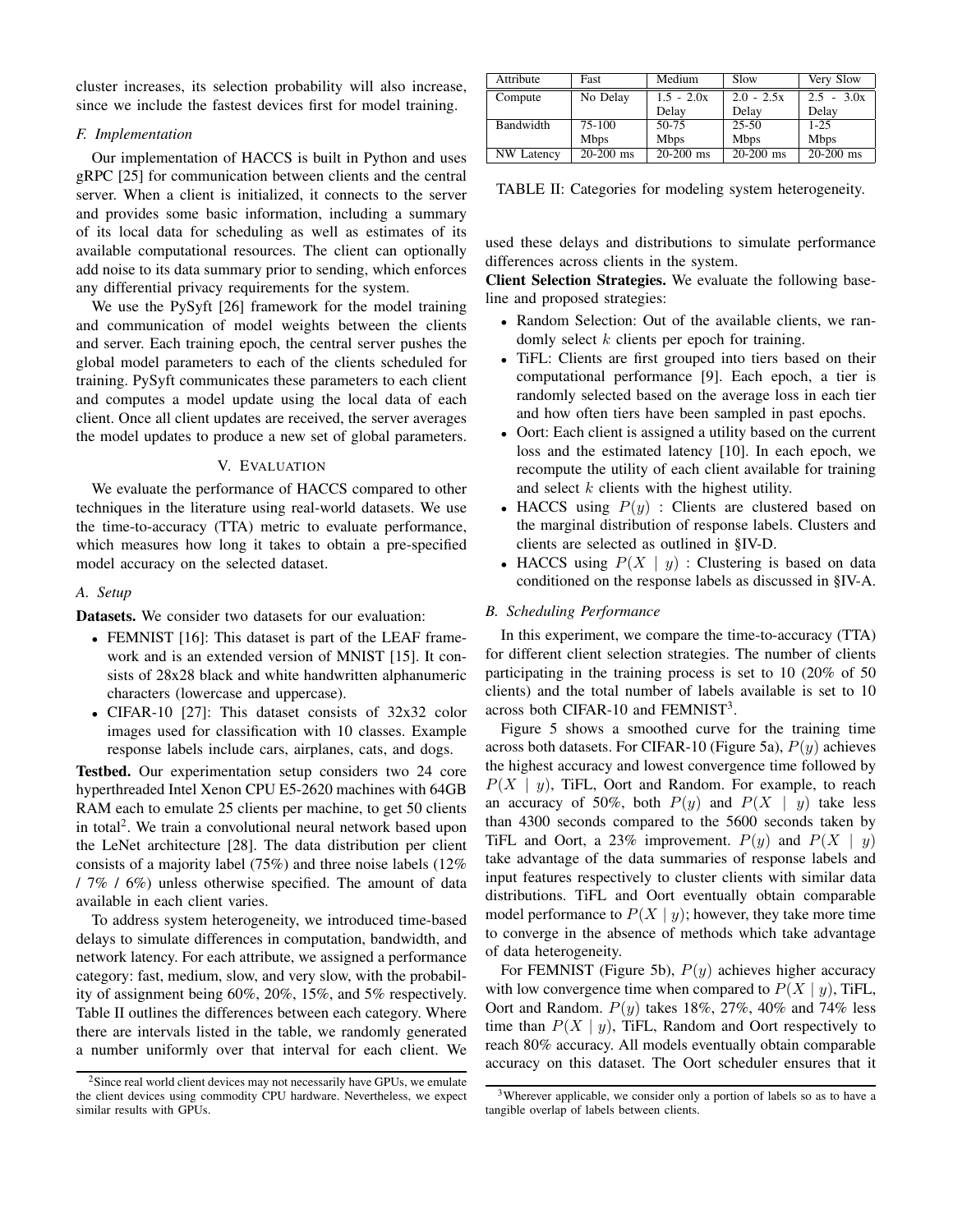cluster increases, its selection probability will also increase, since we include the fastest devices first for model training.

### *F. Implementation*

Our implementation of HACCS is built in Python and uses gRPC [25] for communication between clients and the central server. When a client is initialized, it connects to the server and provides some basic information, including a summary of its local data for scheduling as well as estimates of its available computational resources. The client can optionally add noise to its data summary prior to sending, which enforces any differential privacy requirements for the system.

We use the PySyft [26] framework for the model training and communication of model weights between the clients and server. Each training epoch, the central server pushes the global model parameters to each of the clients scheduled for training. PySyft communicates these parameters to each client and computes a model update using the local data of each client. Once all client updates are received, the server averages the model updates to produce a new set of global parameters.

#### V. EVALUATION

We evaluate the performance of HACCS compared to other techniques in the literature using real-world datasets. We use the time-to-accuracy (TTA) metric to evaluate performance, which measures how long it takes to obtain a pre-specified model accuracy on the selected dataset.

## *A. Setup*

Datasets. We consider two datasets for our evaluation:

- FEMNIST [16]: This dataset is part of the LEAF framework and is an extended version of MNIST [15]. It consists of 28x28 black and white handwritten alphanumeric characters (lowercase and uppercase).
- CIFAR-10 [27]: This dataset consists of 32x32 color images used for classification with 10 classes. Example response labels include cars, airplanes, cats, and dogs.

Testbed. Our experimentation setup considers two 24 core hyperthreaded Intel Xenon CPU E5-2620 machines with 64GB RAM each to emulate 25 clients per machine, to get 50 clients in total<sup>2</sup>. We train a convolutional neural network based upon the LeNet architecture [28]. The data distribution per client consists of a majority label (75%) and three noise labels (12% / 7% / 6%) unless otherwise specified. The amount of data available in each client varies.

To address system heterogeneity, we introduced time-based delays to simulate differences in computation, bandwidth, and network latency. For each attribute, we assigned a performance category: fast, medium, slow, and very slow, with the probability of assignment being 60%, 20%, 15%, and 5% respectively. Table II outlines the differences between each category. Where there are intervals listed in the table, we randomly generated a number uniformly over that interval for each client. We

| Attribute  | Fast               | Medium       | Slow         | Very Slow    |
|------------|--------------------|--------------|--------------|--------------|
| Compute    | No Delay           | $1.5 - 2.0x$ | $2.0 - 2.5x$ | $2.5 - 3.0x$ |
|            |                    | Delay        | Delay        | Delay        |
| Bandwidth  | $75-100$           | $50-75$      | $25-50$      | $1 - 2.5$    |
|            | <b>Mbps</b>        | <b>Mbps</b>  | <b>Mbps</b>  | <b>Mbps</b>  |
| NW Latency | $\sqrt{20-200}$ ms | $20-200$ ms  | $20-200$ ms  | $20-200$ ms  |

TABLE II: Categories for modeling system heterogeneity.

used these delays and distributions to simulate performance differences across clients in the system.

Client Selection Strategies. We evaluate the following baseline and proposed strategies:

- Random Selection: Out of the available clients, we randomly select  $k$  clients per epoch for training.
- TiFL: Clients are first grouped into tiers based on their computational performance [9]. Each epoch, a tier is randomly selected based on the average loss in each tier and how often tiers have been sampled in past epochs.
- Oort: Each client is assigned a utility based on the current loss and the estimated latency [10]. In each epoch, we recompute the utility of each client available for training and select  $k$  clients with the highest utility.
- HACCS using  $P(y)$ : Clients are clustered based on the marginal distribution of response labels. Clusters and clients are selected as outlined in §IV-D.
- HACCS using  $P(X | y)$ : Clustering is based on data conditioned on the response labels as discussed in §IV-A.

#### *B. Scheduling Performance*

In this experiment, we compare the time-to-accuracy (TTA) for different client selection strategies. The number of clients participating in the training process is set to 10 (20% of 50 clients) and the total number of labels available is set to 10 across both CIFAR-10 and FEMNIST<sup>3</sup>.

Figure 5 shows a smoothed curve for the training time across both datasets. For CIFAR-10 (Figure 5a),  $P(y)$  achieves the highest accuracy and lowest convergence time followed by  $P(X \mid y)$ , TiFL, Oort and Random. For example, to reach an accuracy of 50%, both  $P(y)$  and  $P(X | y)$  take less than 4300 seconds compared to the 5600 seconds taken by TiFL and Oort, a 23% improvement.  $P(y)$  and  $P(X | y)$ take advantage of the data summaries of response labels and input features respectively to cluster clients with similar data distributions. TiFL and Oort eventually obtain comparable model performance to  $P(X | y)$ ; however, they take more time to converge in the absence of methods which take advantage of data heterogeneity.

For FEMNIST (Figure 5b),  $P(y)$  achieves higher accuracy with low convergence time when compared to  $P(X | y)$ , TiFL, Oort and Random.  $P(y)$  takes 18%, 27%, 40% and 74% less time than  $P(X | y)$ , TiFL, Random and Oort respectively to reach 80% accuracy. All models eventually obtain comparable accuracy on this dataset. The Oort scheduler ensures that it

 $2$ Since real world client devices may not necessarily have GPUs, we emulate the client devices using commodity CPU hardware. Nevertheless, we expect similar results with GPUs.

 $3$ Wherever applicable, we consider only a portion of labels so as to have a tangible overlap of labels between clients.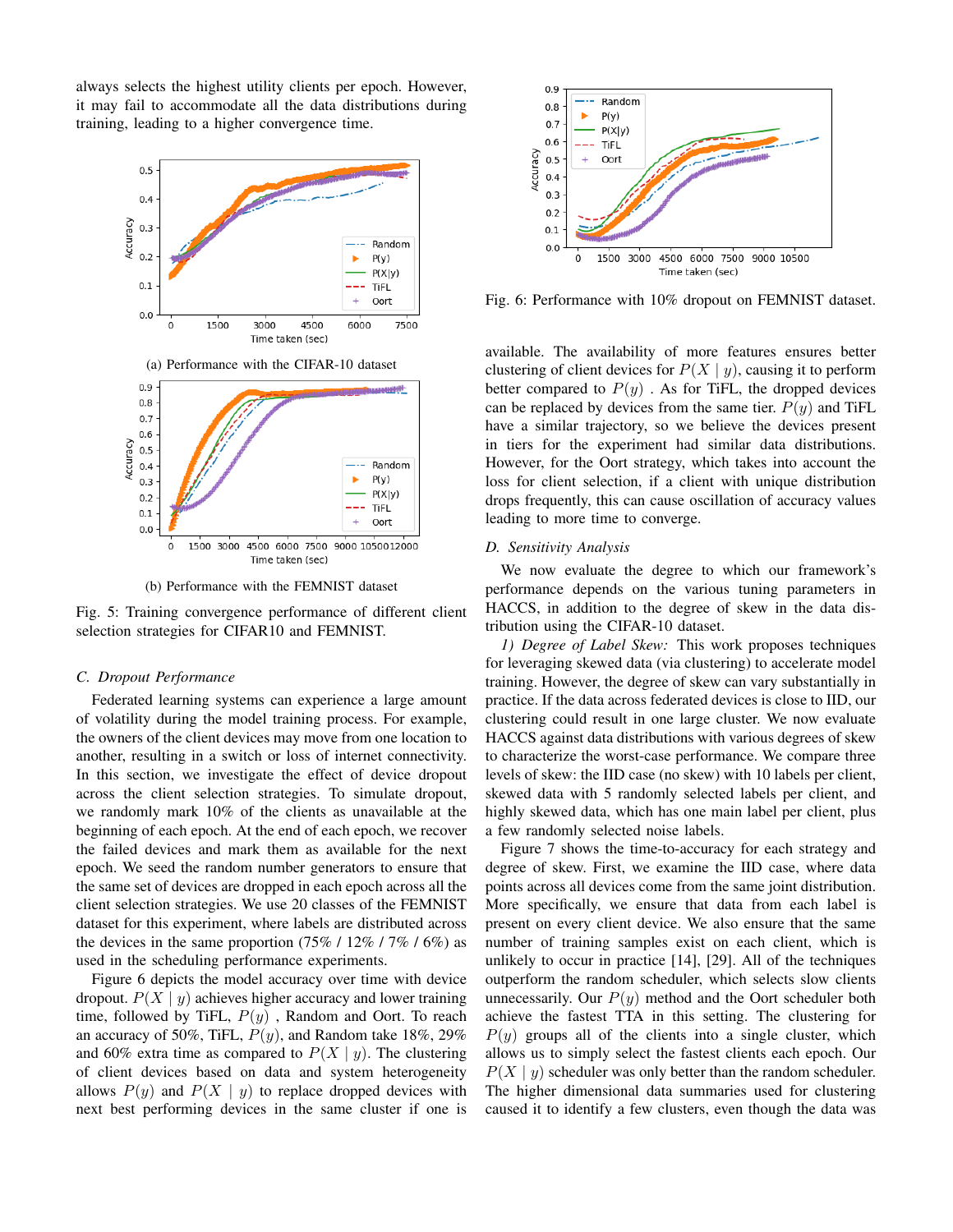always selects the highest utility clients per epoch. However, it may fail to accommodate all the data distributions during training, leading to a higher convergence time.



(b) Performance with the FEMNIST dataset

Fig. 5: Training convergence performance of different client selection strategies for CIFAR10 and FEMNIST.

## *C. Dropout Performance*

Federated learning systems can experience a large amount of volatility during the model training process. For example, the owners of the client devices may move from one location to another, resulting in a switch or loss of internet connectivity. In this section, we investigate the effect of device dropout across the client selection strategies. To simulate dropout, we randomly mark 10% of the clients as unavailable at the beginning of each epoch. At the end of each epoch, we recover the failed devices and mark them as available for the next epoch. We seed the random number generators to ensure that the same set of devices are dropped in each epoch across all the client selection strategies. We use 20 classes of the FEMNIST dataset for this experiment, where labels are distributed across the devices in the same proportion  $(75\% / 12\% / 7\% / 6\%)$  as used in the scheduling performance experiments.

Figure 6 depicts the model accuracy over time with device dropout.  $P(X | y)$  achieves higher accuracy and lower training time, followed by TiFL,  $P(y)$ , Random and Oort. To reach an accuracy of 50%, TiFL,  $P(y)$ , and Random take 18%, 29% and 60% extra time as compared to  $P(X | y)$ . The clustering of client devices based on data and system heterogeneity allows  $P(y)$  and  $P(X | y)$  to replace dropped devices with next best performing devices in the same cluster if one is



Fig. 6: Performance with 10% dropout on FEMNIST dataset.

available. The availability of more features ensures better clustering of client devices for  $P(X | y)$ , causing it to perform better compared to  $P(y)$ . As for TiFL, the dropped devices can be replaced by devices from the same tier.  $P(y)$  and TiFL have a similar trajectory, so we believe the devices present in tiers for the experiment had similar data distributions. However, for the Oort strategy, which takes into account the loss for client selection, if a client with unique distribution drops frequently, this can cause oscillation of accuracy values leading to more time to converge.

# *D. Sensitivity Analysis*

We now evaluate the degree to which our framework's performance depends on the various tuning parameters in HACCS, in addition to the degree of skew in the data distribution using the CIFAR-10 dataset.

*1) Degree of Label Skew:* This work proposes techniques for leveraging skewed data (via clustering) to accelerate model training. However, the degree of skew can vary substantially in practice. If the data across federated devices is close to IID, our clustering could result in one large cluster. We now evaluate HACCS against data distributions with various degrees of skew to characterize the worst-case performance. We compare three levels of skew: the IID case (no skew) with 10 labels per client, skewed data with 5 randomly selected labels per client, and highly skewed data, which has one main label per client, plus a few randomly selected noise labels.

Figure 7 shows the time-to-accuracy for each strategy and degree of skew. First, we examine the IID case, where data points across all devices come from the same joint distribution. More specifically, we ensure that data from each label is present on every client device. We also ensure that the same number of training samples exist on each client, which is unlikely to occur in practice [14], [29]. All of the techniques outperform the random scheduler, which selects slow clients unnecessarily. Our  $P(y)$  method and the Oort scheduler both achieve the fastest TTA in this setting. The clustering for  $P(y)$  groups all of the clients into a single cluster, which allows us to simply select the fastest clients each epoch. Our  $P(X | y)$  scheduler was only better than the random scheduler. The higher dimensional data summaries used for clustering caused it to identify a few clusters, even though the data was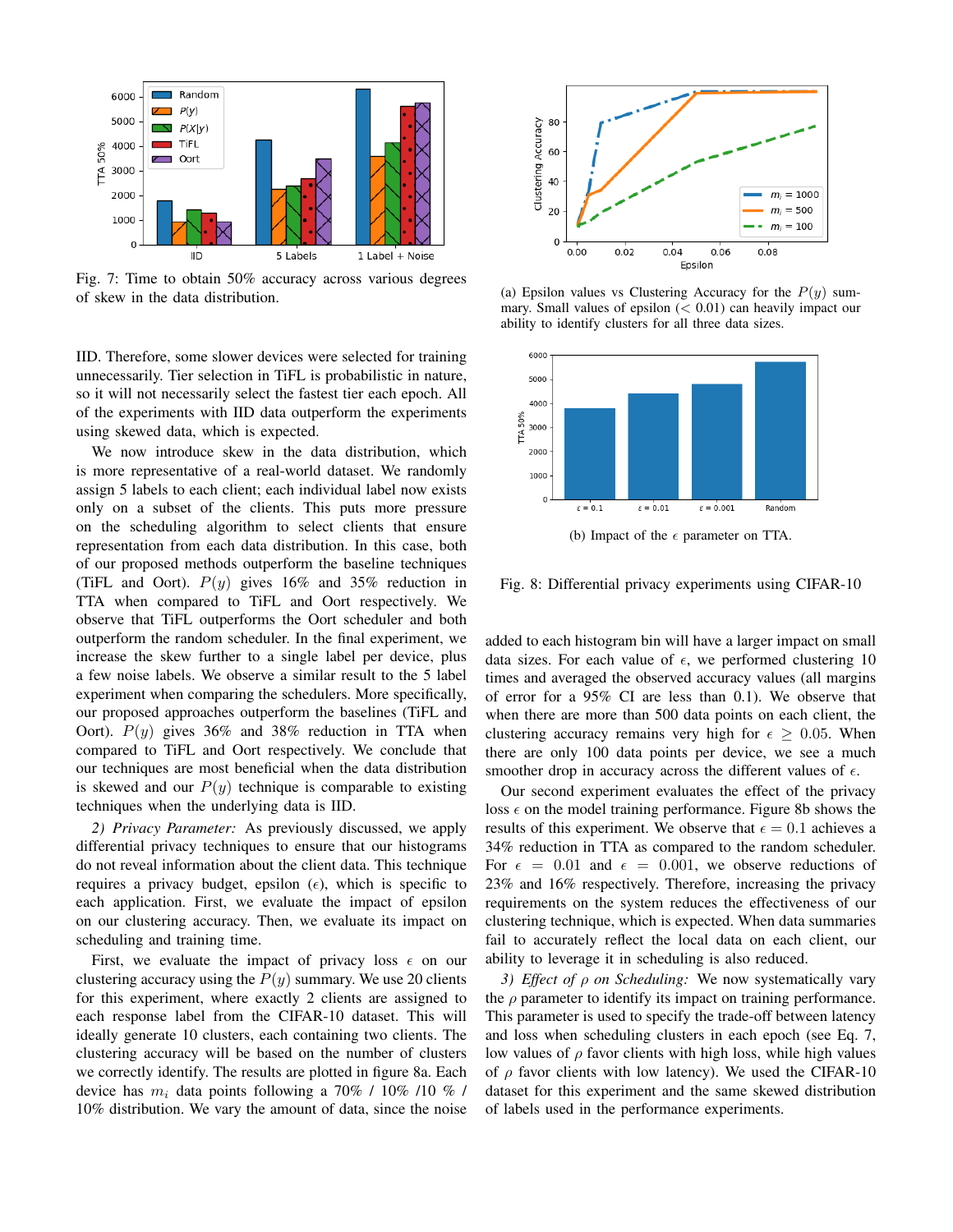

Fig. 7: Time to obtain 50% accuracy across various degrees of skew in the data distribution.

IID. Therefore, some slower devices were selected for training unnecessarily. Tier selection in TiFL is probabilistic in nature, so it will not necessarily select the fastest tier each epoch. All of the experiments with IID data outperform the experiments using skewed data, which is expected.

We now introduce skew in the data distribution, which is more representative of a real-world dataset. We randomly assign 5 labels to each client; each individual label now exists only on a subset of the clients. This puts more pressure on the scheduling algorithm to select clients that ensure representation from each data distribution. In this case, both of our proposed methods outperform the baseline techniques (TiFL and Oort).  $P(y)$  gives 16% and 35% reduction in TTA when compared to TiFL and Oort respectively. We observe that TiFL outperforms the Oort scheduler and both outperform the random scheduler. In the final experiment, we increase the skew further to a single label per device, plus a few noise labels. We observe a similar result to the 5 label experiment when comparing the schedulers. More specifically, our proposed approaches outperform the baselines (TiFL and Oort).  $P(y)$  gives 36% and 38% reduction in TTA when compared to TiFL and Oort respectively. We conclude that our techniques are most beneficial when the data distribution is skewed and our  $P(y)$  technique is comparable to existing techniques when the underlying data is IID.

*2) Privacy Parameter:* As previously discussed, we apply differential privacy techniques to ensure that our histograms do not reveal information about the client data. This technique requires a privacy budget, epsilon  $(\epsilon)$ , which is specific to each application. First, we evaluate the impact of epsilon on our clustering accuracy. Then, we evaluate its impact on scheduling and training time.

First, we evaluate the impact of privacy loss  $\epsilon$  on our clustering accuracy using the  $P(y)$  summary. We use 20 clients for this experiment, where exactly 2 clients are assigned to each response label from the CIFAR-10 dataset. This will ideally generate 10 clusters, each containing two clients. The clustering accuracy will be based on the number of clusters we correctly identify. The results are plotted in figure 8a. Each device has  $m_i$  data points following a 70% / 10% /10 % / 10% distribution. We vary the amount of data, since the noise



(a) Epsilon values vs Clustering Accuracy for the  $P(y)$  summary. Small values of epsilon  $( $0.01$ ) can heavily impact our$ ability to identify clusters for all three data sizes.



(b) Impact of the  $\epsilon$  parameter on TTA.

Fig. 8: Differential privacy experiments using CIFAR-10

added to each histogram bin will have a larger impact on small data sizes. For each value of  $\epsilon$ , we performed clustering 10 times and averaged the observed accuracy values (all margins of error for a 95% CI are less than 0.1). We observe that when there are more than 500 data points on each client, the clustering accuracy remains very high for  $\epsilon \geq 0.05$ . When there are only 100 data points per device, we see a much smoother drop in accuracy across the different values of  $\epsilon$ .

Our second experiment evaluates the effect of the privacy loss  $\epsilon$  on the model training performance. Figure 8b shows the results of this experiment. We observe that  $\epsilon = 0.1$  achieves a 34% reduction in TTA as compared to the random scheduler. For  $\epsilon = 0.01$  and  $\epsilon = 0.001$ , we observe reductions of 23% and 16% respectively. Therefore, increasing the privacy requirements on the system reduces the effectiveness of our clustering technique, which is expected. When data summaries fail to accurately reflect the local data on each client, our ability to leverage it in scheduling is also reduced.

*3) Effect of* ρ *on Scheduling:* We now systematically vary the  $\rho$  parameter to identify its impact on training performance. This parameter is used to specify the trade-off between latency and loss when scheduling clusters in each epoch (see Eq. 7, low values of  $\rho$  favor clients with high loss, while high values of  $\rho$  favor clients with low latency). We used the CIFAR-10 dataset for this experiment and the same skewed distribution of labels used in the performance experiments.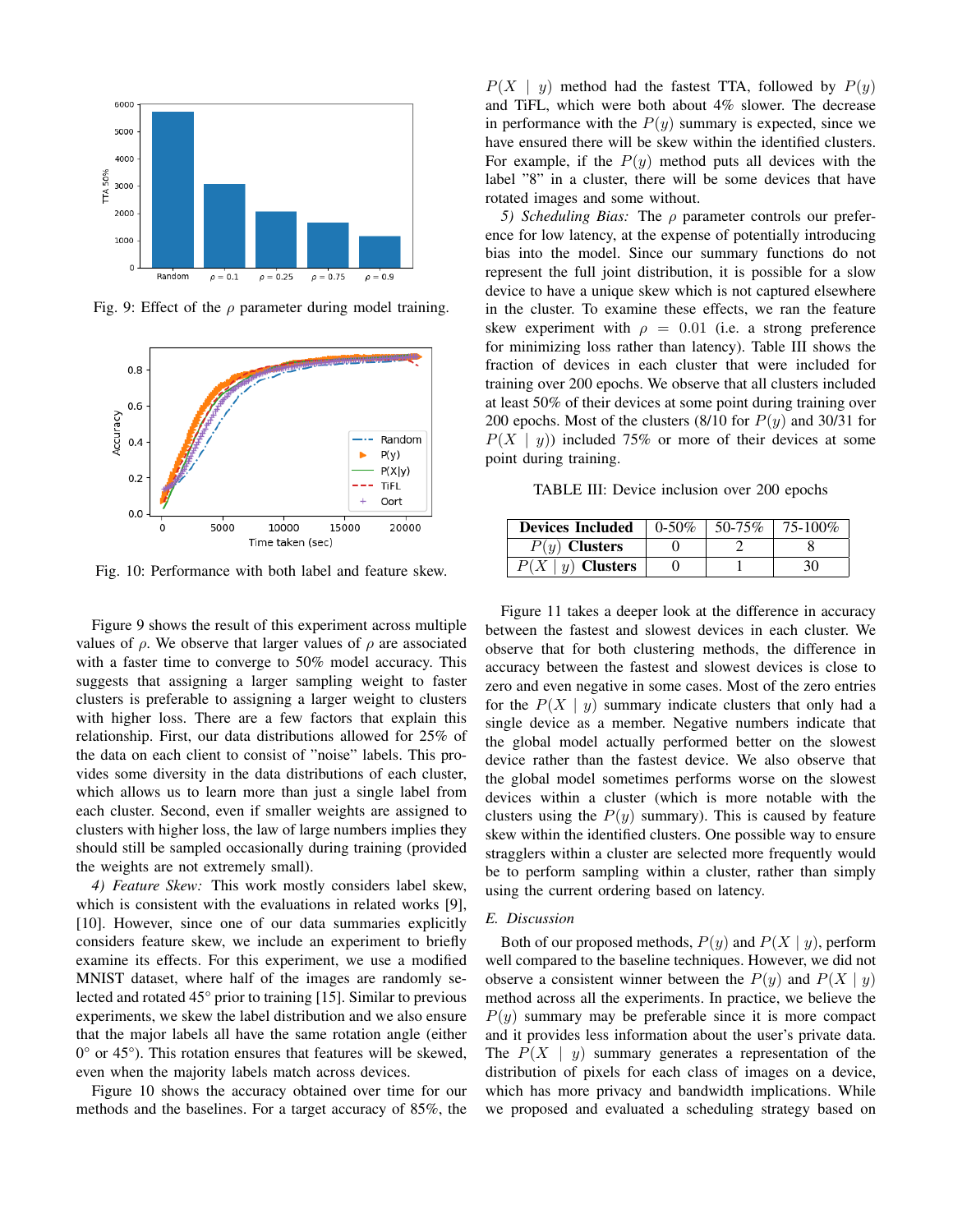

Fig. 9: Effect of the  $\rho$  parameter during model training.



Fig. 10: Performance with both label and feature skew.

Figure 9 shows the result of this experiment across multiple values of  $\rho$ . We observe that larger values of  $\rho$  are associated with a faster time to converge to 50% model accuracy. This suggests that assigning a larger sampling weight to faster clusters is preferable to assigning a larger weight to clusters with higher loss. There are a few factors that explain this relationship. First, our data distributions allowed for 25% of the data on each client to consist of "noise" labels. This provides some diversity in the data distributions of each cluster, which allows us to learn more than just a single label from each cluster. Second, even if smaller weights are assigned to clusters with higher loss, the law of large numbers implies they should still be sampled occasionally during training (provided the weights are not extremely small).

*4) Feature Skew:* This work mostly considers label skew, which is consistent with the evaluations in related works [9], [10]. However, since one of our data summaries explicitly considers feature skew, we include an experiment to briefly examine its effects. For this experiment, we use a modified MNIST dataset, where half of the images are randomly selected and rotated 45° prior to training [15]. Similar to previous experiments, we skew the label distribution and we also ensure that the major labels all have the same rotation angle (either  $0^{\circ}$  or 45 $^{\circ}$ ). This rotation ensures that features will be skewed, even when the majority labels match across devices.

Figure 10 shows the accuracy obtained over time for our methods and the baselines. For a target accuracy of 85%, the

 $P(X \mid y)$  method had the fastest TTA, followed by  $P(y)$ and TiFL, which were both about 4% slower. The decrease in performance with the  $P(y)$  summary is expected, since we have ensured there will be skew within the identified clusters. For example, if the  $P(y)$  method puts all devices with the label "8" in a cluster, there will be some devices that have rotated images and some without.

*5) Scheduling Bias:* The ρ parameter controls our preference for low latency, at the expense of potentially introducing bias into the model. Since our summary functions do not represent the full joint distribution, it is possible for a slow device to have a unique skew which is not captured elsewhere in the cluster. To examine these effects, we ran the feature skew experiment with  $\rho = 0.01$  (i.e. a strong preference for minimizing loss rather than latency). Table III shows the fraction of devices in each cluster that were included for training over 200 epochs. We observe that all clusters included at least 50% of their devices at some point during training over 200 epochs. Most of the clusters (8/10 for  $P(y)$  and 30/31 for  $P(X \mid y)$  included 75% or more of their devices at some point during training.

TABLE III: Device inclusion over 200 epochs

| <b>Devices Included</b> | $0-50%$ | $50 - 75\%$ | 75-100% |
|-------------------------|---------|-------------|---------|
| $P(y)$ Clusters         |         |             |         |
| $\zeta \mid y$ Clusters |         |             | 30      |

Figure 11 takes a deeper look at the difference in accuracy between the fastest and slowest devices in each cluster. We observe that for both clustering methods, the difference in accuracy between the fastest and slowest devices is close to zero and even negative in some cases. Most of the zero entries for the  $P(X | y)$  summary indicate clusters that only had a single device as a member. Negative numbers indicate that the global model actually performed better on the slowest device rather than the fastest device. We also observe that the global model sometimes performs worse on the slowest devices within a cluster (which is more notable with the clusters using the  $P(y)$  summary). This is caused by feature skew within the identified clusters. One possible way to ensure stragglers within a cluster are selected more frequently would be to perform sampling within a cluster, rather than simply using the current ordering based on latency.

#### *E. Discussion*

Both of our proposed methods,  $P(y)$  and  $P(X | y)$ , perform well compared to the baseline techniques. However, we did not observe a consistent winner between the  $P(y)$  and  $P(X | y)$ method across all the experiments. In practice, we believe the  $P(y)$  summary may be preferable since it is more compact and it provides less information about the user's private data. The  $P(X \mid y)$  summary generates a representation of the distribution of pixels for each class of images on a device, which has more privacy and bandwidth implications. While we proposed and evaluated a scheduling strategy based on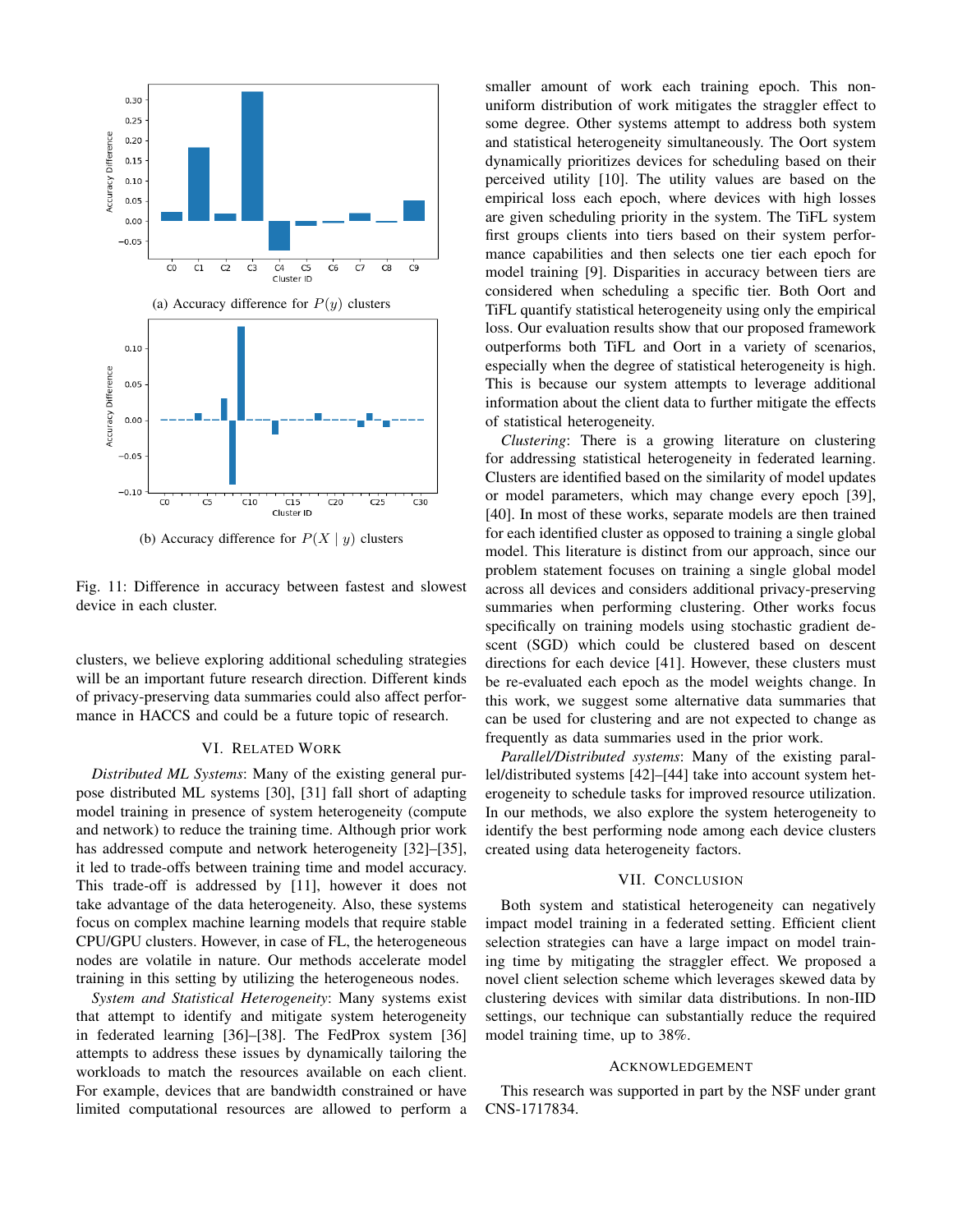

(b) Accuracy difference for  $P(X | y)$  clusters

Fig. 11: Difference in accuracy between fastest and slowest device in each cluster.

clusters, we believe exploring additional scheduling strategies will be an important future research direction. Different kinds of privacy-preserving data summaries could also affect performance in HACCS and could be a future topic of research.

## VI. RELATED WORK

*Distributed ML Systems*: Many of the existing general purpose distributed ML systems [30], [31] fall short of adapting model training in presence of system heterogeneity (compute and network) to reduce the training time. Although prior work has addressed compute and network heterogeneity [32]–[35], it led to trade-offs between training time and model accuracy. This trade-off is addressed by [11], however it does not take advantage of the data heterogeneity. Also, these systems focus on complex machine learning models that require stable CPU/GPU clusters. However, in case of FL, the heterogeneous nodes are volatile in nature. Our methods accelerate model training in this setting by utilizing the heterogeneous nodes.

*System and Statistical Heterogeneity*: Many systems exist that attempt to identify and mitigate system heterogeneity in federated learning [36]–[38]. The FedProx system [36] attempts to address these issues by dynamically tailoring the workloads to match the resources available on each client. For example, devices that are bandwidth constrained or have limited computational resources are allowed to perform a smaller amount of work each training epoch. This nonuniform distribution of work mitigates the straggler effect to some degree. Other systems attempt to address both system and statistical heterogeneity simultaneously. The Oort system dynamically prioritizes devices for scheduling based on their perceived utility [10]. The utility values are based on the empirical loss each epoch, where devices with high losses are given scheduling priority in the system. The TiFL system first groups clients into tiers based on their system performance capabilities and then selects one tier each epoch for model training [9]. Disparities in accuracy between tiers are considered when scheduling a specific tier. Both Oort and TiFL quantify statistical heterogeneity using only the empirical loss. Our evaluation results show that our proposed framework outperforms both TiFL and Oort in a variety of scenarios, especially when the degree of statistical heterogeneity is high. This is because our system attempts to leverage additional information about the client data to further mitigate the effects of statistical heterogeneity.

*Clustering*: There is a growing literature on clustering for addressing statistical heterogeneity in federated learning. Clusters are identified based on the similarity of model updates or model parameters, which may change every epoch [39], [40]. In most of these works, separate models are then trained for each identified cluster as opposed to training a single global model. This literature is distinct from our approach, since our problem statement focuses on training a single global model across all devices and considers additional privacy-preserving summaries when performing clustering. Other works focus specifically on training models using stochastic gradient descent (SGD) which could be clustered based on descent directions for each device [41]. However, these clusters must be re-evaluated each epoch as the model weights change. In this work, we suggest some alternative data summaries that can be used for clustering and are not expected to change as frequently as data summaries used in the prior work.

*Parallel/Distributed systems*: Many of the existing parallel/distributed systems [42]–[44] take into account system heterogeneity to schedule tasks for improved resource utilization. In our methods, we also explore the system heterogeneity to identify the best performing node among each device clusters created using data heterogeneity factors.

## VII. CONCLUSION

Both system and statistical heterogeneity can negatively impact model training in a federated setting. Efficient client selection strategies can have a large impact on model training time by mitigating the straggler effect. We proposed a novel client selection scheme which leverages skewed data by clustering devices with similar data distributions. In non-IID settings, our technique can substantially reduce the required model training time, up to 38%.

#### ACKNOWLEDGEMENT

This research was supported in part by the NSF under grant CNS-1717834.